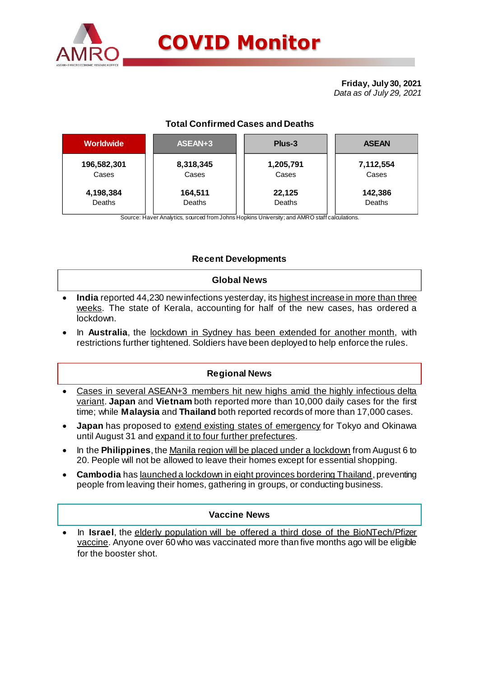

# **COVID Monitor**

**Friday, July 30, 2021** *Data as of July 29, 2021*

## **Total Confirmed Cases and Deaths**

| <b>Worldwide</b> | ASEAN+3   | Plus-3    | <b>ASEAN</b> |  |  |
|------------------|-----------|-----------|--------------|--|--|
| 196,582,301      | 8,318,345 | 1,205,791 | 7,112,554    |  |  |
| Cases            | Cases     | Cases     | Cases        |  |  |
| 4,198,384        | 164,511   | 22,125    | 142,386      |  |  |
| Deaths           | Deaths    | Deaths    | Deaths       |  |  |

Source: Haver Analytics, sourced from Johns Hopkins University; and AMRO staff calculations.

### **Recent Developments**

#### **Global News**

- **India** reported 44,230 new infections yesterday, its highest increase in more than three weeks. The state of Kerala, accounting for half of the new cases, has ordered a lockdown.
- In **Australia**, the lockdown in Sydney has been extended for another month, with restrictions further tightened. Soldiers have been deployed to help enforce the rules.

#### **Regional News**

- Cases in several ASEAN+3 members hit new highs amid the highly infectious delta variant. **Japan** and **Vietnam** both reported more than 10,000 daily cases for the first time; while **Malaysia** and **Thailand** both reported records of more than 17,000 cases.
- **Japan** has proposed to extend existing states of emergency for Tokyo and Okinawa until August 31 and expand it to four further prefectures.
- In the **Philippines**, the Manila region will be placed under a lockdown from August 6 to 20. People will not be allowed to leave their homes except for essential shopping.
- **Cambodia** has <u>launched a lockdown in eight provinces bordering Thailand</u>, preventing people from leaving their homes, gathering in groups, or conducting business.

#### **Vaccine News**

 In **Israel**, the elderly population will be offered a third dose of the BioNTech/Pfizer vaccine. Anyone over 60 who was vaccinated more than five months ago will be eligible for the booster shot.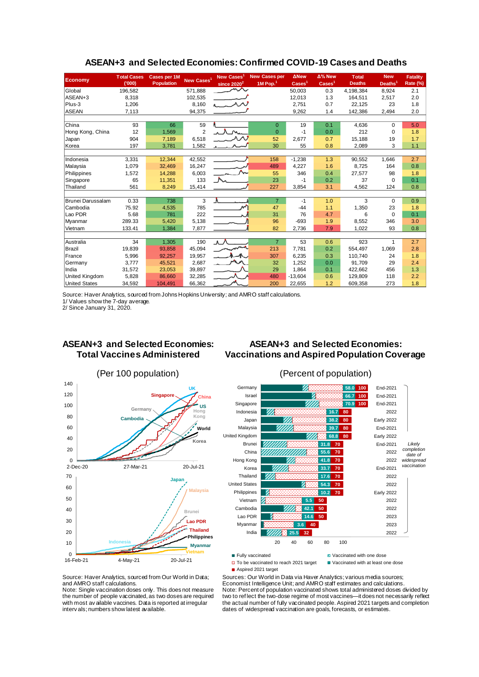| <b>Economy</b>        | <b>Total Cases</b><br>(000) | <b>Cases per 1M</b><br><b>Population</b> | New Cases <sup>1</sup> | <b>New Cases</b><br>since $2020^2$ | <b>New Cases per</b><br>$1M$ Pop. <sup>1</sup> | <b>ANew</b><br>$\text{Case}$ <sup>1</sup> | Δ% New<br>$\text{Case}$ | <b>T</b> otal<br><b>Deaths</b> | <b>New</b><br>Deaths <sup>1</sup> | <b>Fatality</b><br>Rate (%) |
|-----------------------|-----------------------------|------------------------------------------|------------------------|------------------------------------|------------------------------------------------|-------------------------------------------|-------------------------|--------------------------------|-----------------------------------|-----------------------------|
| Global                | 196,582                     |                                          | 571,888                | سمهمر                              |                                                | 50,003                                    | 0.3                     | 4,198,384                      | 8,924                             | 2.1                         |
| ASEAN+3               | 8,318                       |                                          | 102,535                |                                    |                                                | 12,013                                    | 1.3                     | 164,511                        | 2,517                             | 2.0                         |
| Plus-3                | 1.206                       |                                          | 8,160                  |                                    |                                                | 2.751                                     | 0.7                     | 22.125                         | 23                                | 1.8                         |
| <b>ASEAN</b>          | 7,113                       |                                          | 94,375                 |                                    |                                                | 9,262                                     | 1.4                     | 142,386                        | 2,494                             | 2.0                         |
|                       |                             |                                          |                        |                                    |                                                |                                           |                         |                                |                                   |                             |
| China                 | 93                          | 66                                       | 59                     |                                    | $\Omega$                                       | 19                                        | 0.1                     | 4,636                          | $\Omega$                          | 5.0                         |
| Hong Kong, China      | 12                          | 1,569                                    | $\overline{2}$         |                                    | $\Omega$                                       | $-1$                                      | 0.0                     | 212                            | $\Omega$                          | 1.8                         |
| Japan                 | 904                         | 7,189                                    | 6,518                  | للملا                              | 52                                             | 2,677                                     | 0.7                     | 15,188                         | 19                                | 1.7                         |
| Korea                 | 197                         | 3,781                                    | 1,582                  |                                    | 30                                             | 55                                        | 0.8                     | 2,089                          | 3                                 | 1.1                         |
|                       |                             |                                          |                        |                                    |                                                |                                           |                         |                                |                                   |                             |
| Indonesia             | 3,331                       | 12.344                                   | 42.552                 |                                    | 158                                            | $-1.238$                                  | 1.3                     | 90,552                         | 1,646                             | 2.7                         |
| Malaysia              | 1,079                       | 32,469                                   | 16,247                 |                                    | 489                                            | 4.227                                     | 1.6                     | 8,725                          | 164                               | 0.8                         |
| Philippines           | 1,572                       | 14,288                                   | 6,003                  |                                    | 55                                             | 346                                       | 0.4                     | 27.577                         | 98                                | 1.8                         |
| Singapore             | 65                          | 11,351                                   | 133                    |                                    | 23                                             | $-1$                                      | 0.2                     | 37                             | $\Omega$                          | 0.1                         |
| Thailand              | 561                         | 8,249                                    | 15,414                 |                                    | 227                                            | 3,854                                     | 3.1                     | 4,562                          | 124                               | 0.8                         |
|                       |                             |                                          |                        |                                    |                                                |                                           |                         |                                |                                   |                             |
| Brunei Darussalam     | 0.33                        | 738                                      | 3                      | A                                  | $\overline{7}$                                 | $-1$                                      | 1.0                     | 3                              | $\Omega$                          | 0.9                         |
| Cambodia              | 75.92                       | 4,535                                    | 785                    | مهر                                | 47                                             | $-44$                                     | 1.1                     | 1,350                          | 23                                | 1.8                         |
| Lao PDR               | 5.68                        | 781                                      | 222                    |                                    | 31                                             | 76                                        | 4.7                     | 6                              | $\Omega$                          | 0.1                         |
| Myanmar               | 289.33                      | 5,420                                    | 5,138                  |                                    | 96                                             | $-693$                                    | 1.9                     | 8,552                          | 346                               | 3.0                         |
| Vietnam               | 133.41                      | 1,384                                    | 7,877                  |                                    | 82                                             | 2,736                                     | 7.9                     | 1,022                          | 93                                | 0.8                         |
|                       |                             |                                          |                        |                                    |                                                |                                           |                         |                                |                                   |                             |
| Australia             | 34                          | 1.305                                    | 190                    | $\lambda$ $\lambda$                | $\overline{7}$                                 | 53                                        | 0.6                     | 923                            | 1                                 | 2.7                         |
| Brazil                | 19,839                      | 93,858                                   | 45.094                 |                                    | 213                                            | 7,781                                     | 0.2                     | 554,497                        | 1,069                             | 2.8                         |
| France                | 5.996                       | 92.257                                   | 19,957                 |                                    | 307                                            | 6,235                                     | 0.3                     | 110.740                        | 24                                | 1.8                         |
| Germany               | 3.777                       | 45,521                                   | 2,687                  |                                    | 32                                             | 1.252                                     | 0.0                     | 91.709                         | 29                                | 2.4                         |
| India                 | 31,572                      | 23,053                                   | 39,897                 |                                    | 29                                             | 1,864                                     | 0.1                     | 422,662                        | 456                               | 1.3                         |
| <b>United Kingdom</b> | 5,828                       | 86,660                                   | 32,285                 |                                    | 480                                            | $-13.604$                                 | 0.6                     | 129,809                        | 118                               | 2.2                         |
| <b>United States</b>  | 34,592                      | 104,491                                  | 66,362                 |                                    | 200                                            | 22,655                                    | 1.2                     | 609,358                        | 273                               | 1.8                         |

#### **ASEAN+3 and Selected Economies: Confirmed COVID-19 Cases and Deaths**

Source: Haver Analytics, sourced from Johns Hopkins University; and AMRO staff calculations. 1/ Values show the 7-day average.

2/ Since January 31, 2020.

# **ASEAN+3 and Selected Economies: Total Vaccines Administered**

#### **ASEAN+3 and Selected Economies: Vaccinations and Aspired Population Coverage**





□ To be vaccinated to reach 2021 target ■ Vaccinated with at least one dose

■ Aspired 2021 target

Sources: Our World in Data via Haver Analytics; various media sources; Economist Intelligence Unit; and AMRO staff estimates and calculations. Note: Percent of population vaccinated shows total administered doses divided by two to ref lect the two-dose regime of most vaccines—it does not necessarily reflect the actual number of fully vaccinated people. Aspired 2021 targets and completion dates of widespread vaccination are goals, forecasts, or estimates.

Source: Haver Analytics, sourced from Our World in Data; and AMRO staff calculations.

Note: Single vaccination doses only. This does not measure the number of people vaccinated, as two doses are required with most av ailable vaccines. Data is reported at irregular interv als; numbers show latest available.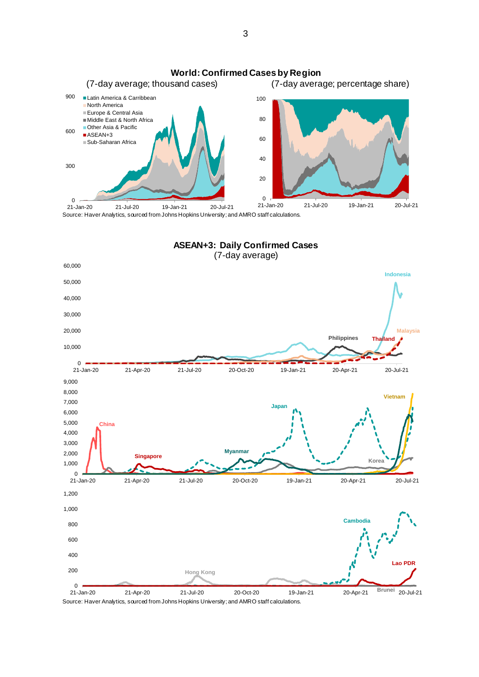





Source: Haver Analytics, sourced from Johns Hopkins University; and AMRO staff calculations.

3